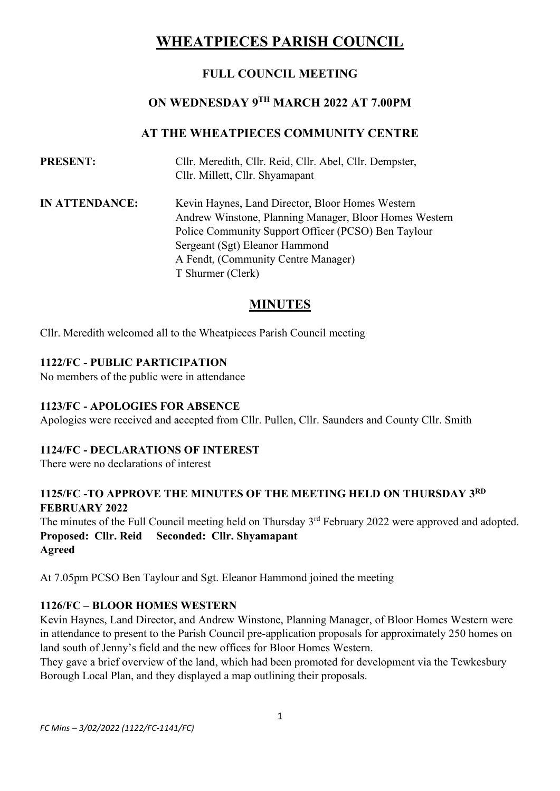# **WHEATPIECES PARISH COUNCIL**

# **FULL COUNCIL MEETING**

# **ON WEDNESDAY 9TH MARCH 2022 AT 7.00PM**

# **AT THE WHEATPIECES COMMUNITY CENTRE**

| <b>PRESENT:</b>       | Cllr. Meredith, Cllr. Reid, Cllr. Abel, Cllr. Dempster,<br>Cllr. Millett, Cllr. Shyamapant                 |
|-----------------------|------------------------------------------------------------------------------------------------------------|
| <b>IN ATTENDANCE:</b> | Kevin Haynes, Land Director, Bloor Homes Western<br>Andrew Winstone, Planning Manager, Bloor Homes Western |
|                       | Police Community Support Officer (PCSO) Ben Taylour                                                        |
|                       | Sergeant (Sgt) Eleanor Hammond                                                                             |
|                       | A Fendt, (Community Centre Manager)                                                                        |
|                       | T Shurmer (Clerk)                                                                                          |

# **MINUTES**

Cllr. Meredith welcomed all to the Wheatpieces Parish Council meeting

#### **1122/FC - PUBLIC PARTICIPATION**

No members of the public were in attendance

#### **1123/FC - APOLOGIES FOR ABSENCE**

Apologies were received and accepted from Cllr. Pullen, Cllr. Saunders and County Cllr. Smith

#### **1124/FC - DECLARATIONS OF INTEREST**

There were no declarations of interest

### **1125/FC -TO APPROVE THE MINUTES OF THE MEETING HELD ON THURSDAY 3 RD FEBRUARY 2022**

The minutes of the Full Council meeting held on Thursday 3<sup>rd</sup> February 2022 were approved and adopted. **Proposed: Cllr. Reid Seconded: Cllr. Shyamapant Agreed**

At 7.05pm PCSO Ben Taylour and Sgt. Eleanor Hammond joined the meeting

#### **1126/FC – BLOOR HOMES WESTERN**

Kevin Haynes, Land Director, and Andrew Winstone, Planning Manager, of Bloor Homes Western were in attendance to present to the Parish Council pre-application proposals for approximately 250 homes on land south of Jenny's field and the new offices for Bloor Homes Western.

They gave a brief overview of the land, which had been promoted for development via the Tewkesbury Borough Local Plan, and they displayed a map outlining their proposals.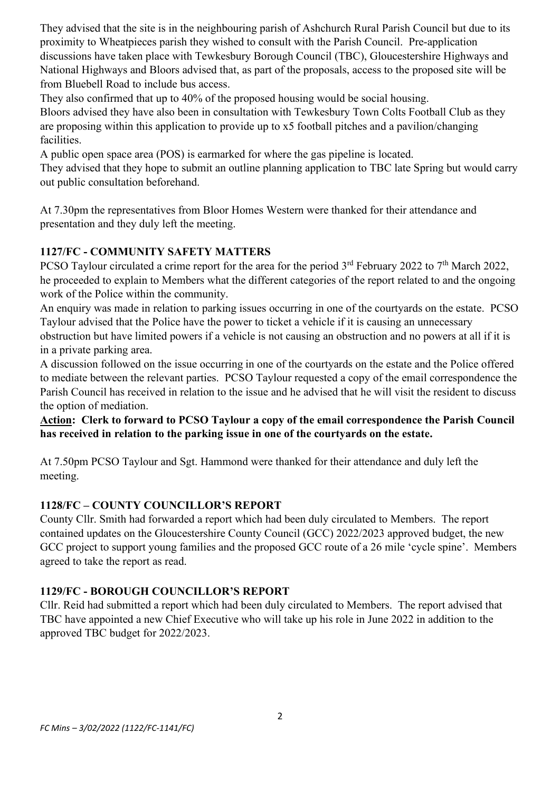They advised that the site is in the neighbouring parish of Ashchurch Rural Parish Council but due to its proximity to Wheatpieces parish they wished to consult with the Parish Council. Pre-application discussions have taken place with Tewkesbury Borough Council (TBC), Gloucestershire Highways and National Highways and Bloors advised that, as part of the proposals, access to the proposed site will be from Bluebell Road to include bus access.

They also confirmed that up to 40% of the proposed housing would be social housing.

Bloors advised they have also been in consultation with Tewkesbury Town Colts Football Club as they are proposing within this application to provide up to x5 football pitches and a pavilion/changing facilities.

A public open space area (POS) is earmarked for where the gas pipeline is located.

They advised that they hope to submit an outline planning application to TBC late Spring but would carry out public consultation beforehand.

At 7.30pm the representatives from Bloor Homes Western were thanked for their attendance and presentation and they duly left the meeting.

# **1127/FC - COMMUNITY SAFETY MATTERS**

PCSO Taylour circulated a crime report for the area for the period  $3<sup>rd</sup>$  February 2022 to 7<sup>th</sup> March 2022, he proceeded to explain to Members what the different categories of the report related to and the ongoing work of the Police within the community.

An enquiry was made in relation to parking issues occurring in one of the courtyards on the estate. PCSO Taylour advised that the Police have the power to ticket a vehicle if it is causing an unnecessary

obstruction but have limited powers if a vehicle is not causing an obstruction and no powers at all if it is in a private parking area.

A discussion followed on the issue occurring in one of the courtyards on the estate and the Police offered to mediate between the relevant parties. PCSO Taylour requested a copy of the email correspondence the Parish Council has received in relation to the issue and he advised that he will visit the resident to discuss the option of mediation.

**Action: Clerk to forward to PCSO Taylour a copy of the email correspondence the Parish Council has received in relation to the parking issue in one of the courtyards on the estate.**

At 7.50pm PCSO Taylour and Sgt. Hammond were thanked for their attendance and duly left the meeting.

# **1128/FC – COUNTY COUNCILLOR'S REPORT**

County Cllr. Smith had forwarded a report which had been duly circulated to Members. The report contained updates on the Gloucestershire County Council (GCC) 2022/2023 approved budget, the new GCC project to support young families and the proposed GCC route of a 26 mile 'cycle spine'. Members agreed to take the report as read.

# **1129/FC - BOROUGH COUNCILLOR'S REPORT**

Cllr. Reid had submitted a report which had been duly circulated to Members. The report advised that TBC have appointed a new Chief Executive who will take up his role in June 2022 in addition to the approved TBC budget for 2022/2023.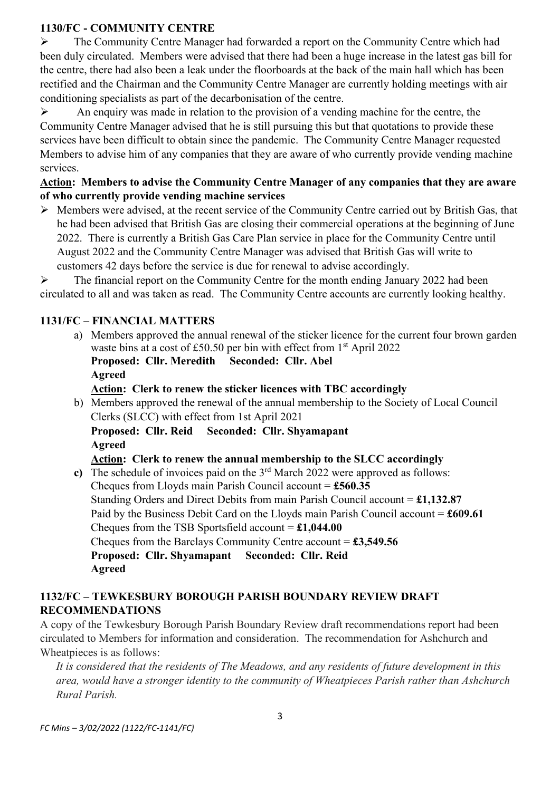#### **1130/FC - COMMUNITY CENTRE**

➢ The Community Centre Manager had forwarded a report on the Community Centre which had been duly circulated. Members were advised that there had been a huge increase in the latest gas bill for the centre, there had also been a leak under the floorboards at the back of the main hall which has been rectified and the Chairman and the Community Centre Manager are currently holding meetings with air conditioning specialists as part of the decarbonisation of the centre.

 $\triangleright$  An enquiry was made in relation to the provision of a vending machine for the centre, the Community Centre Manager advised that he is still pursuing this but that quotations to provide these services have been difficult to obtain since the pandemic. The Community Centre Manager requested Members to advise him of any companies that they are aware of who currently provide vending machine services.

### **Action: Members to advise the Community Centre Manager of any companies that they are aware of who currently provide vending machine services**

➢ Members were advised, at the recent service of the Community Centre carried out by British Gas, that he had been advised that British Gas are closing their commercial operations at the beginning of June 2022. There is currently a British Gas Care Plan service in place for the Community Centre until August 2022 and the Community Centre Manager was advised that British Gas will write to customers 42 days before the service is due for renewal to advise accordingly.

➢ The financial report on the Community Centre for the month ending January 2022 had been circulated to all and was taken as read. The Community Centre accounts are currently looking healthy.

# **1131/FC – FINANCIAL MATTERS**

- a) Members approved the annual renewal of the sticker licence for the current four brown garden waste bins at a cost of £50.50 per bin with effect from  $1<sup>st</sup>$  April 2022
	- **Proposed: Cllr. Meredith Seconded: Cllr. Abel Agreed**
	- **Action: Clerk to renew the sticker licences with TBC accordingly**
- b) Members approved the renewal of the annual membership to the Society of Local Council Clerks (SLCC) with effect from 1st April 2021 **Proposed: Cllr. Reid Seconded: Cllr. Shyamapant Agreed**

**Action: Clerk to renew the annual membership to the SLCC accordingly**

c) The schedule of invoices paid on the  $3<sup>rd</sup>$  March 2022 were approved as follows: Cheques from Lloyds main Parish Council account = **£560.35** Standing Orders and Direct Debits from main Parish Council account = **£1,132.87** Paid by the Business Debit Card on the Lloyds main Parish Council account = **£609.61** Cheques from the TSB Sportsfield account = **£1,044.00** Cheques from the Barclays Community Centre account = **£3,549.56 Proposed: Cllr. Shyamapant Seconded: Cllr. Reid Agreed**

# **1132/FC – TEWKESBURY BOROUGH PARISH BOUNDARY REVIEW DRAFT RECOMMENDATIONS**

A copy of the Tewkesbury Borough Parish Boundary Review draft recommendations report had been circulated to Members for information and consideration. The recommendation for Ashchurch and Wheatpieces is as follows:

*It is considered that the residents of The Meadows, and any residents of future development in this area, would have a stronger identity to the community of Wheatpieces Parish rather than Ashchurch Rural Parish.*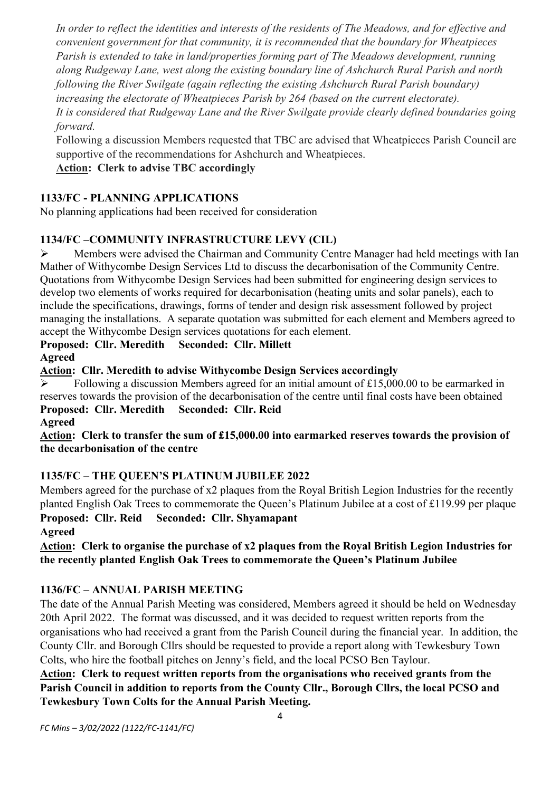*In order to reflect the identities and interests of the residents of The Meadows, and for effective and convenient government for that community, it is recommended that the boundary for Wheatpieces Parish is extended to take in land/properties forming part of The Meadows development, running along Rudgeway Lane, west along the existing boundary line of Ashchurch Rural Parish and north following the River Swilgate (again reflecting the existing Ashchurch Rural Parish boundary) increasing the electorate of Wheatpieces Parish by 264 (based on the current electorate). It is considered that Rudgeway Lane and the River Swilgate provide clearly defined boundaries going forward.*

Following a discussion Members requested that TBC are advised that Wheatpieces Parish Council are supportive of the recommendations for Ashchurch and Wheatpieces.

# **Action: Clerk to advise TBC accordingly**

# **1133/FC - PLANNING APPLICATIONS**

No planning applications had been received for consideration

# **1134/FC –COMMUNITY INFRASTRUCTURE LEVY (CIL)**

➢ Members were advised the Chairman and Community Centre Manager had held meetings with Ian Mather of Withycombe Design Services Ltd to discuss the decarbonisation of the Community Centre. Quotations from Withycombe Design Services had been submitted for engineering design services to develop two elements of works required for decarbonisation (heating units and solar panels), each to include the specifications, drawings, forms of tender and design risk assessment followed by project managing the installations. A separate quotation was submitted for each element and Members agreed to accept the Withycombe Design services quotations for each element.

# **Proposed: Cllr. Meredith Seconded: Cllr. Millett**

**Agreed**

**Action: Cllr. Meredith to advise Withycombe Design Services accordingly**

 $\triangleright$  Following a discussion Members agreed for an initial amount of £15,000.00 to be earmarked in reserves towards the provision of the decarbonisation of the centre until final costs have been obtained **Proposed: Cllr. Meredith Seconded: Cllr. Reid**

**Agreed**

**Action: Clerk to transfer the sum of £15,000.00 into earmarked reserves towards the provision of the decarbonisation of the centre**

# **1135/FC – THE QUEEN'S PLATINUM JUBILEE 2022**

Members agreed for the purchase of x2 plaques from the Royal British Legion Industries for the recently planted English Oak Trees to commemorate the Queen's Platinum Jubilee at a cost of £119.99 per plaque **Proposed: Cllr. Reid Seconded: Cllr. Shyamapant**

**Agreed**

**Action: Clerk to organise the purchase of x2 plaques from the Royal British Legion Industries for the recently planted English Oak Trees to commemorate the Queen's Platinum Jubilee**

# **1136/FC – ANNUAL PARISH MEETING**

The date of the Annual Parish Meeting was considered, Members agreed it should be held on Wednesday 20th April 2022. The format was discussed, and it was decided to request written reports from the organisations who had received a grant from the Parish Council during the financial year. In addition, the County Cllr. and Borough Cllrs should be requested to provide a report along with Tewkesbury Town Colts, who hire the football pitches on Jenny's field, and the local PCSO Ben Taylour.

**Action: Clerk to request written reports from the organisations who received grants from the Parish Council in addition to reports from the County Cllr., Borough Cllrs, the local PCSO and Tewkesbury Town Colts for the Annual Parish Meeting.**